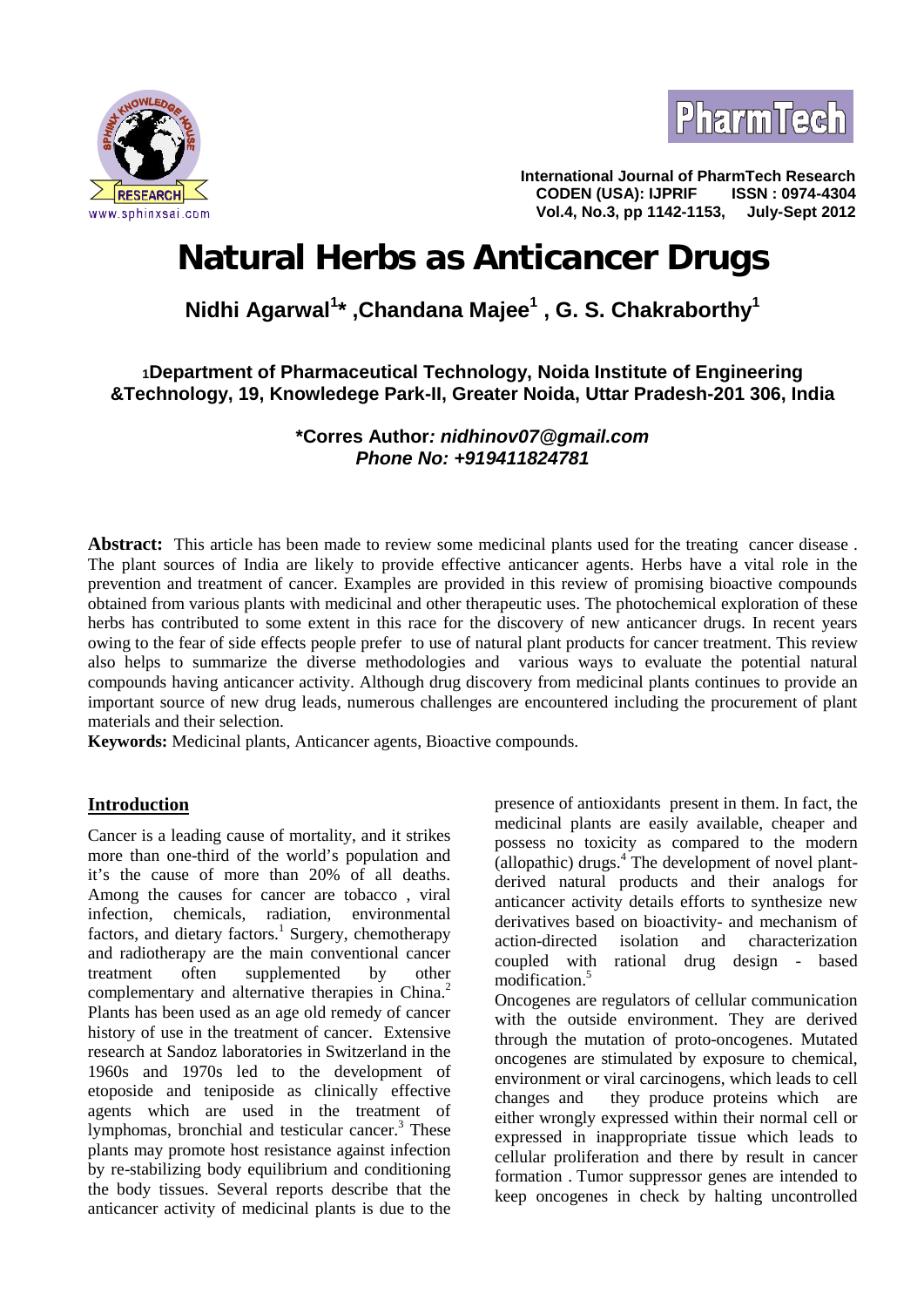



**International Journal of PharmTech Research CODEN (USA): IJPRIF ISSN : 0974-4304 Vol.4, No.3, pp 1142-1153,** 

# **Natural Herbs as Anticancer Drugs**

# **Nidhi Agarwal<sup>1</sup>\* ,Chandana Majee<sup>1</sup> , G. S. Chakraborthy<sup>1</sup>**

## **<sup>1</sup>Department of Pharmaceutical Technology, Noida Institute of Engineering &Technology, 19, Knowledege Park-II, Greater Noida, Uttar Pradesh-201 306, India**

**\*Corres Author***: nidhinov07@gmail.com Phone No: +919411824781*

**Abstract:** This article has been made to review some medicinal plants used for the treating cancer disease . The plant sources of India are likely to provide effective anticancer agents. Herbs have a vital role in the prevention and treatment of cancer. Examples are provided in this review of promising bioactive compounds obtained from various plants with medicinal and other therapeutic uses. The photochemical exploration of these herbs has contributed to some extent in this race for the discovery of new anticancer drugs. In recent years owing to the fear of side effects people prefer to use of natural plant products for cancer treatment. This review also helps to summarize the diverse methodologies and various ways to evaluate the potential natural compounds having anticancer activity. Although drug discovery from medicinal plants continues to provide an important source of new drug leads, numerous challenges are encountered including the procurement of plant materials and their selection.

**Keywords:** Medicinal plants, Anticancer agents, Bioactive compounds.

### **Introduction**

Cancer is a leading cause of mortality, and it strikes more than one-third of the world's population and it's the cause of more than 20% of all deaths. Among the causes for cancer are tobacco , viral infection, chemicals, radiation, environmental factors, and dietary factors.<sup>1</sup> Surgery, chemotherapy and radiotherapy are the main conventional cancer treatment often supplemented by other complementary and alternative therapies in China.<sup>2</sup> Plants has been used as an age old remedy of cancer history of use in the treatment of cancer. Extensive research at Sandoz laboratories in Switzerland in the 1960s and 1970s led to the development of etoposide and teniposide as clinically effective agents which are used in the treatment of lymphomas, bronchial and testicular cancer.<sup>3</sup> These plants may promote host resistance against infection by re-stabilizing body equilibrium and conditioning the body tissues. Several reports describe that the anticancer activity of medicinal plants is due to the

presence of antioxidants present in them. In fact, the medicinal plants are easily available, cheaper and possess no toxicity as compared to the modern  $\alpha$ (allopathic) drugs.<sup>4</sup> The development of novel plantderived natural products and their analogs for anticancer activity details efforts to synthesize new derivatives based on bioactivity- and mechanism of action-directed isolation and characterization coupled with rational drug design - based modification.<sup>5</sup>

Oncogenes are regulators of cellular communication with the outside environment. They are derived through the mutation of proto-oncogenes. Mutated oncogenes are stimulated by exposure to chemical, environment or viral carcinogens, which leads to cell they produce proteins which are either wrongly expressed within their normal cell or expressed in inappropriate tissue which leads to cellular proliferation and there by result in cancer formation . Tumor suppressor genes are intended to keep oncogenes in check by halting uncontrolled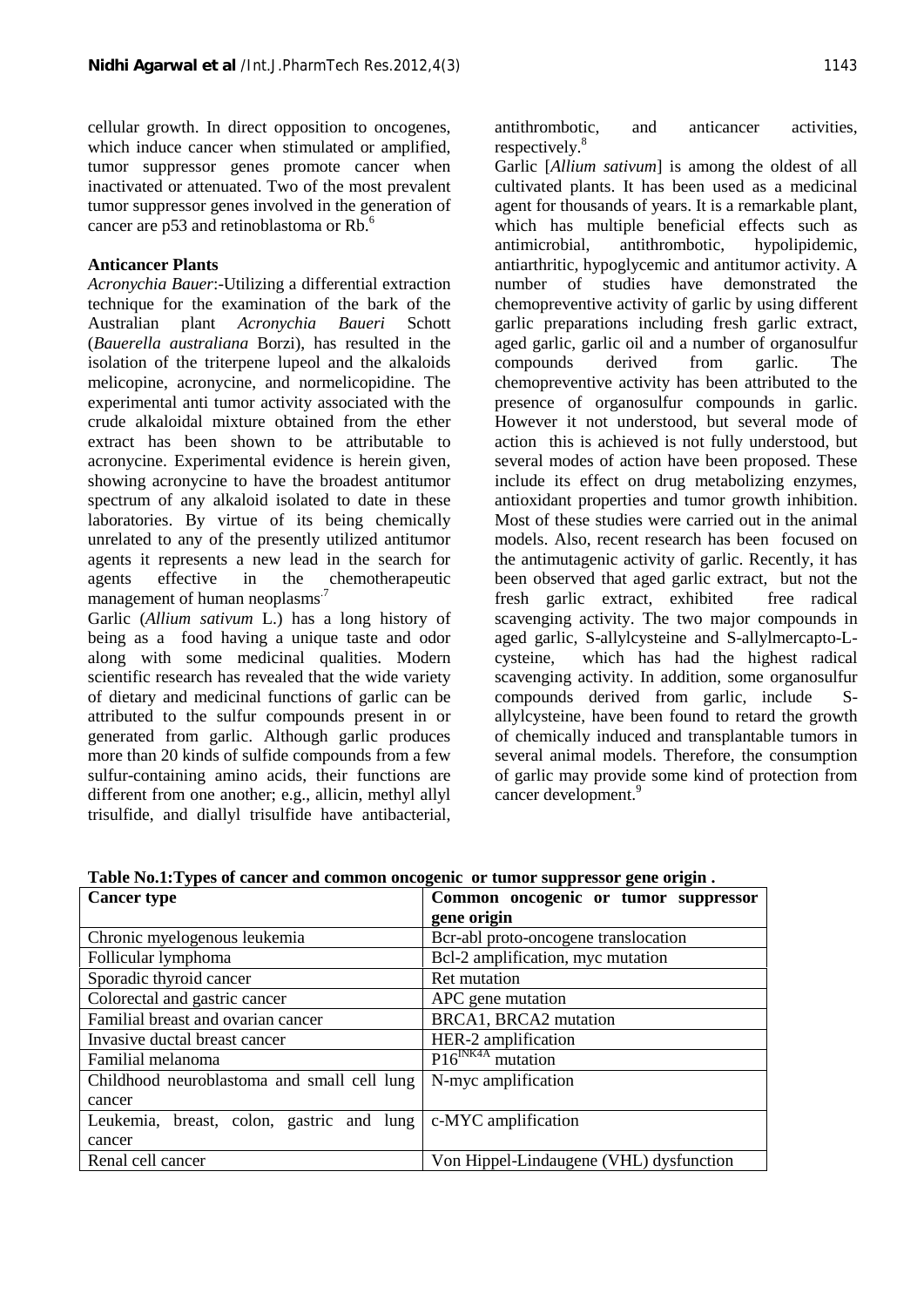cellular growth. In direct opposition to oncogenes, which induce cancer when stimulated or amplified, tumor suppressor genes promote cancer when inactivated or attenuated. Two of the most prevalent tumor suppressor genes involved in the generation of cancer are p53 and retinoblastoma or Rb.<sup>6</sup>

#### **Anticancer Plants**

*Acronychia Bauer*:-Utilizing a differential extraction technique for the examination of the bark of the Australian plant *Acronychia Baueri* Schott (*Bauerella australiana* Borzi), has resulted in the isolation of the triterpene lupeol and the alkaloids melicopine, acronycine, and normelicopidine. The experimental anti tumor activity associated with the crude alkaloidal mixture obtained from the ether extract has been shown to be attributable to acronycine. Experimental evidence is herein given, showing acronycine to have the broadest antitumor spectrum of any alkaloid isolated to date in these laboratories. By virtue of its being chemically unrelated to any of the presently utilized antitumor agents it represents a new lead in the search for agents effective in the chemotherapeutic management of human neoplasms.<sup>7</sup>

Garlic (*Allium sativum* L.) has a long history of being as a food having a unique taste and odor along with some medicinal qualities. Modern scientific research has revealed that the wide variety of dietary and medicinal functions of garlic can be attributed to the sulfur compounds present in or generated from garlic. Although garlic produces more than 20 kinds of sulfide compounds from a few sulfur-containing amino acids, their functions are different from one another; e.g., allicin, methyl allyl trisulfide, and diallyl trisulfide have antibacterial,

antithrombotic, and anticancer activities, respectively.<sup>8</sup>

Garlic [*Allium sativum*] is among the oldest of all cultivated plants. It has been used as a medicinal agent for thousands of years. It is a remarkable plant, which has multiple beneficial effects such as antimicrobial, antithrombotic, hypolipidemic, antiarthritic, hypoglycemic and antitumor activity. A number of studies have demonstrated the chemopreventive activity of garlic by using different garlic preparations including fresh garlic extract, aged garlic, garlic oil and a number of organosulfur compounds derived from garlic. The chemopreventive activity has been attributed to the presence of organosulfur compounds in garlic. However it not understood, but several mode of action this is achieved is not fully understood, but several modes of action have been proposed. These include its effect on drug metabolizing enzymes, antioxidant properties and tumor growth inhibition. Most of these studies were carried out in the animal models. Also, recent research has been focused on the antimutagenic activity of garlic. Recently, it has been observed that aged garlic extract, but not the fresh garlic extract, exhibited free radical scavenging activity. The two major compounds in aged garlic, S-allylcysteine and S-allylmercapto-L which has had the highest radical scavenging activity. In addition, some organosulfur compounds derived from garlic, include S allylcysteine, have been found to retard the growth of chemically induced and transplantable tumors in several animal models. Therefore, the consumption of garlic may provide some kind of protection from cancer development.<sup>9</sup>

| <b>Cancer type</b>                                                                   | Common oncogenic or tumor suppressor    |
|--------------------------------------------------------------------------------------|-----------------------------------------|
|                                                                                      | gene origin                             |
| Chronic myelogenous leukemia                                                         | Bcr-abl proto-oncogene translocation    |
| Follicular lymphoma                                                                  | Bcl-2 amplification, myc mutation       |
| Sporadic thyroid cancer                                                              | Ret mutation                            |
| Colorectal and gastric cancer                                                        | APC gene mutation                       |
| Familial breast and ovarian cancer                                                   | BRCA1, BRCA2 mutation                   |
| Invasive ductal breast cancer                                                        | HER-2 amplification                     |
| Familial melanoma                                                                    | $P16^{INK4A}$ mutation                  |
| Childhood neuroblastoma and small cell lung                                          | N-myc amplification                     |
| cancer                                                                               |                                         |
| Leukemia, breast, colon, gastric and $\lceil \text{lung} \rceil$ c-MYC amplification |                                         |
| cancer                                                                               |                                         |
| Renal cell cancer                                                                    | Von Hippel-Lindaugene (VHL) dysfunction |

**Table No.1:Types of cancer and common oncogenic or tumor suppressor gene origin .**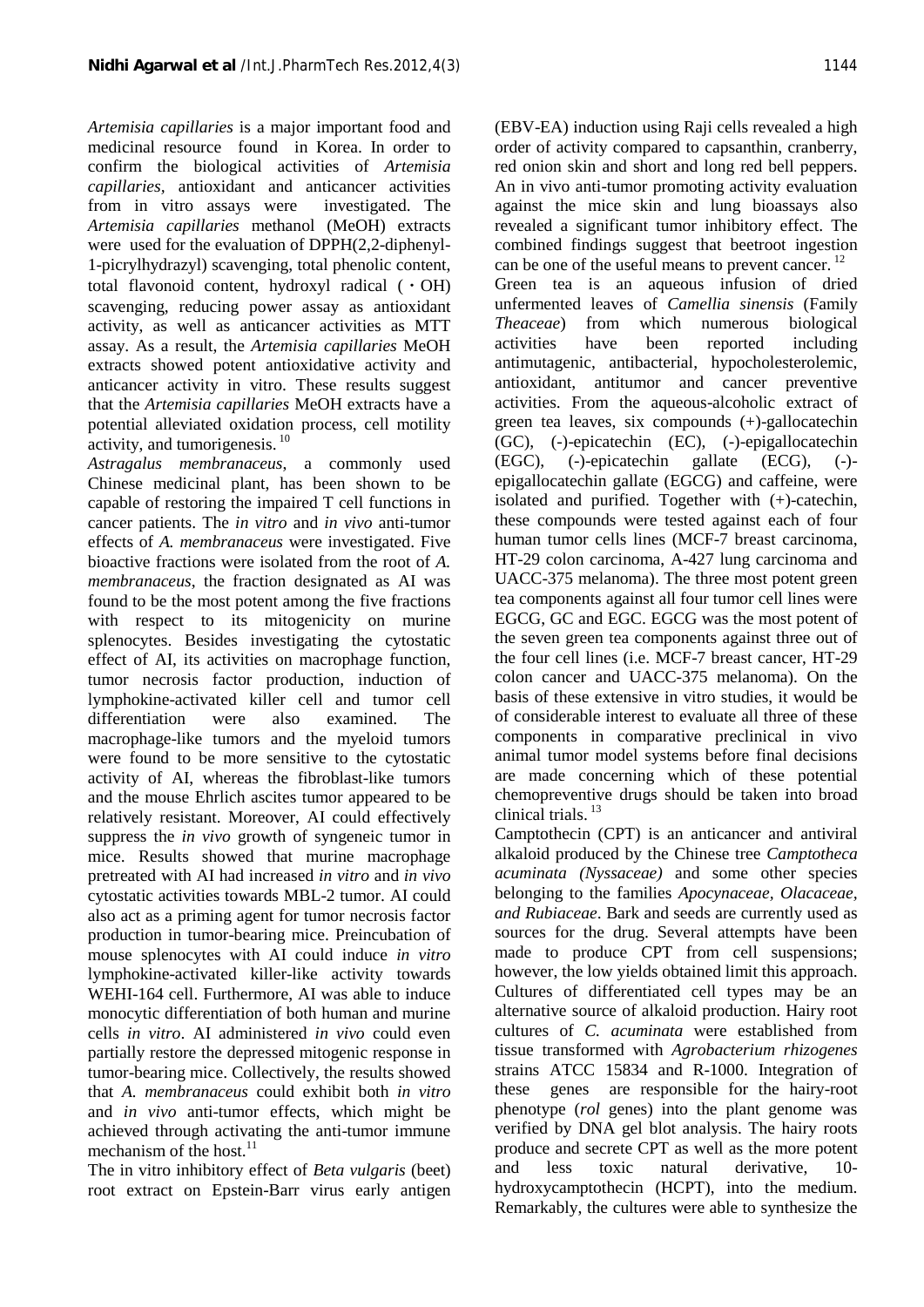*Artemisia capillaries* is a major important food and medicinal resource found in Korea. In order to confirm the biological activities of *Artemisia capillaries,* antioxidant and anticancer activities from in vitro assays were investigated. The *Artemisia capillaries* methanol (MeOH) extracts were used for the evaluation of DPPH(2,2-diphenyl- 1-picrylhydrazyl) scavenging, total phenolic content, total flavonoid content, hydroxyl radical (ㆍOH) scavenging, reducing power assay as antioxidant activity, as well as anticancer activities as MTT assay. As a result, the *Artemisia capillaries* MeOH extracts showed potent antioxidative activity and anticancer activity in vitro. These results suggest that the *Artemisia capillaries* MeOH extracts have a potential alleviated oxidation process, cell motility activity, and tumorigenesis.<sup>10</sup>

*Astragalus membranaceus*, a commonly used Chinese medicinal plant, has been shown to be capable of restoring the impaired T cell functions in cancer patients. The *in vitro* and *in vivo* anti-tumor effects of *A. membranaceus* were investigated. Five bioactive fractions were isolated from the root of *A. membranaceus*, the fraction designated as AI was found to be the most potent among the five fractions with respect to its mitogenicity on murine splenocytes. Besides investigating the cytostatic effect of AI, its activities on macrophage function, tumor necrosis factor production, induction of lymphokine-activated killer cell and tumor cell differentiation were also examined. The macrophage-like tumors and the myeloid tumors were found to be more sensitive to the cytostatic activity of AI, whereas the fibroblast-like tumors and the mouse Ehrlich ascites tumor appeared to be relatively resistant. Moreover, AI could effectively suppress the *in vivo* growth of syngeneic tumor in mice. Results showed that murine macrophage pretreated with AI had increased *in vitro* and *in vivo* cytostatic activities towards MBL-2 tumor. AI could also act as a priming agent for tumor necrosis factor production in tumor-bearing mice. Preincubation of mouse splenocytes with AI could induce *in vitro* lymphokine-activated killer-like activity towards WEHI-164 cell. Furthermore, AI was able to induce monocytic differentiation of both human and murine cells *in vitro*. AI administered *in vivo* could even partially restore the depressed mitogenic response in tumor-bearing mice. Collectively, the results showed that *A. membranaceus* could exhibit both *in vitro* and *in vivo* anti-tumor effects, which might be achieved through activating the anti-tumor immune mechanism of the host.<sup>11</sup>

The in vitro inhibitory effect of *Beta vulgaris* (beet) root extract on Epstein-Barr virus early antigen

(EBV-EA) induction using Raji cells revealed a high order of activity compared to capsanthin, cranberry, red onion skin and short and long red bell peppers. An in vivo anti-tumor promoting activity evaluation against the mice skin and lung bioassays also revealed a significant tumor inhibitory effect. The combined findings suggest that beetroot ingestion can be one of the useful means to prevent cancer.  $12$ Green tea is an aqueous infusion of dried unfermented leaves of *Camellia sinensis* (Family from which numerous biological have been reported including antimutagenic, antibacterial, hypocholesterolemic, antioxidant, antitumor and cancer preventive activities. From the aqueous-alcoholic extract of green tea leaves, six compounds (+)-gallocatechin (GC), (-)-epicatechin (EC), (-)-epigallocatechin (EGC), (-)-epicatechin gallate (ECG), (-) epigallocatechin gallate (EGCG) and caffeine, were isolated and purified. Together with (+)-catechin, these compounds were tested against each of four human tumor cells lines (MCF-7 breast carcinoma, HT-29 colon carcinoma, A-427 lung carcinoma and UACC-375 melanoma). The three most potent green tea components against all four tumor cell lines were EGCG, GC and EGC. EGCG was the most potent of the seven green tea components against three out of the four cell lines (i.e. MCF-7 breast cancer, HT-29 colon cancer and UACC-375 melanoma). On the basis of these extensive in vitro studies, it would be of considerable interest to evaluate all three of these components in comparative preclinical in vivo animal tumor model systems before final decisions are made concerning which of these potential chemopreventive drugs should be taken into broad clinical trials.  $^{13}$ 

Camptothecin (CPT) is an anticancer and antiviral alkaloid produced by the Chinese tree *Camptotheca acuminata (Nyssaceae)* and some other species belonging to the families *Apocynaceae, Olacaceae, and Rubiaceae*. Bark and seeds are currently used as sources for the drug. Several attempts have been made to produce CPT from cell suspensions; however, the low yields obtained limit this approach. Cultures of differentiated cell types may be an alternative source of alkaloid production. Hairy root cultures of *C. acuminata* were established from tissue transformed with *Agrobacterium rhizogenes* strains ATCC 15834 and R-1000. Integration of genes are responsible for the hairy-root phenotype (*rol* genes) into the plant genome was verified by DNA gel blot analysis. The hairy roots produce and secrete CPT as well as the more potent and less toxic natural derivative, 10 hydroxycamptothecin (HCPT), into the medium. Remarkably, the cultures were able to synthesize the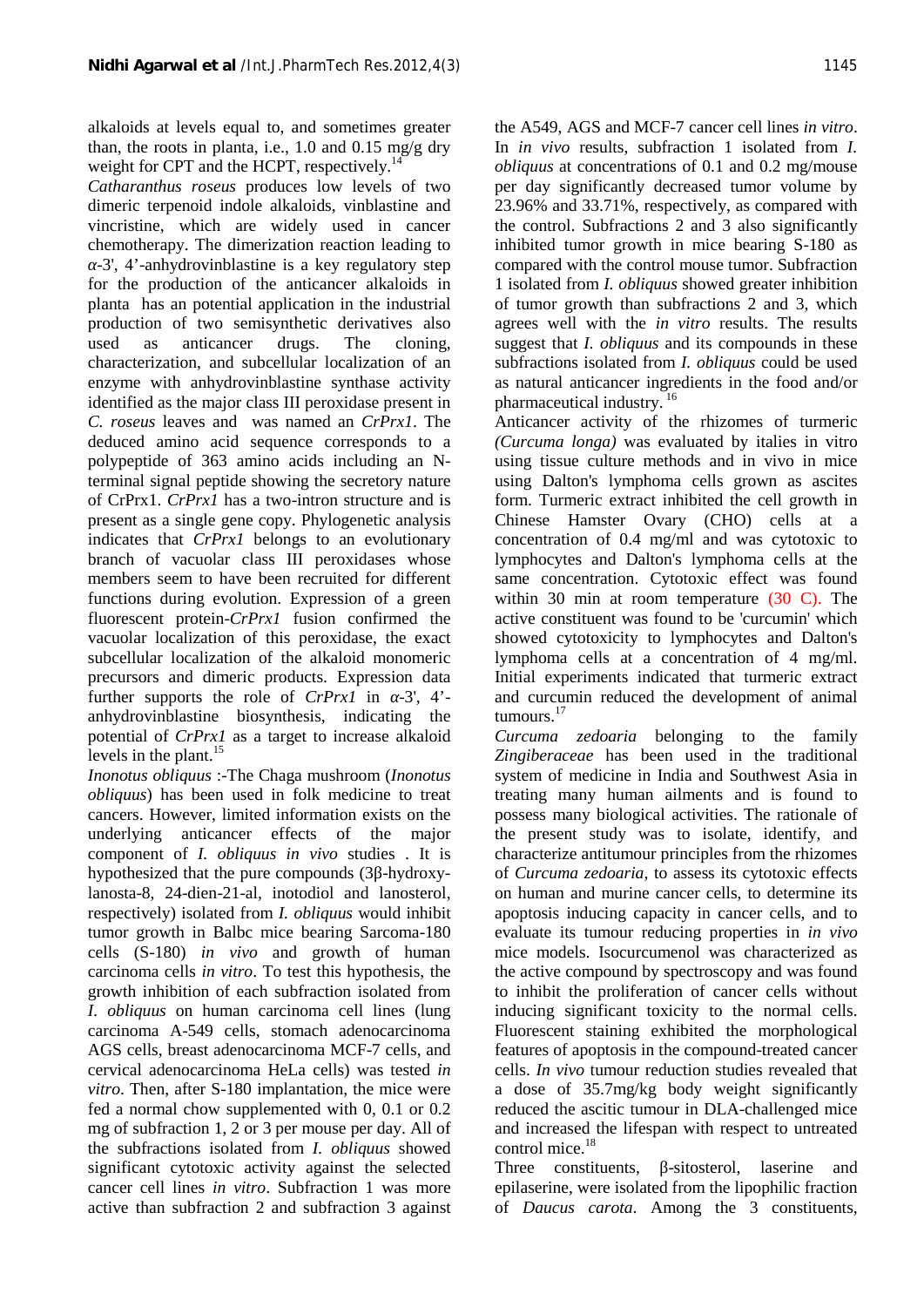alkaloids at levels equal to, and sometimes greater than, the roots in planta, i.e., 1.0 and 0.15 mg/g dry weight for CPT and the HCPT, respectively.<sup>14</sup>

*Catharanthus roseus* produces low levels of two dimeric terpenoid indole alkaloids, vinblastine and vincristine, which are widely used in cancer chemotherapy. The dimerization reaction leading to

-3', 4'-anhydrovinblastine is a key regulatory step for the production of the anticancer alkaloids in planta has an potential application in the industrial production of two semisynthetic derivatives also used as anticancer drugs. The cloning, characterization, and subcellular localization of an enzyme with anhydrovinblastine synthase activity identified as the major class III peroxidase present in *C. roseus* leaves and was named an *CrPrx1*. The deduced amino acid sequence corresponds to a polypeptide of 363 amino acids including an Nterminal signal peptide showing the secretory nature of CrPrx1. *CrPrx1* has a two-intron structure and is present as a single gene copy. Phylogenetic analysis indicates that *CrPrx1* belongs to an evolutionary branch of vacuolar class III peroxidases whose members seem to have been recruited for different functions during evolution. Expression of a green fluorescent protein-*CrPrx1* fusion confirmed the vacuolar localization of this peroxidase, the exact subcellular localization of the alkaloid monomeric precursors and dimeric products. Expression data further supports the role of *CrPrx1* in -3', 4' anhydrovinblastine biosynthesis, indicating the potential of *CrPrx1* as a target to increase alkaloid levels in the plant.<sup>15</sup>

*Inonotus obliquus* :-The Chaga mushroom (*Inonotus obliquus*) has been used in folk medicine to treat cancers. However, limited information exists on the underlying anticancer effects of the major component of *I. obliquus in vivo* studies . It is hypothesized that the pure compounds (3 -hydroxylanosta-8, 24-dien-21-al, inotodiol and lanosterol, respectively) isolated from *I. obliquus* would inhibit tumor growth in Balbc mice bearing Sarcoma-180 cells (S-180) *in vivo* and growth of human carcinoma cells *in vitro*. To test this hypothesis, the growth inhibition of each subfraction isolated from *I. obliquus* on human carcinoma cell lines (lung carcinoma A-549 cells, stomach adenocarcinoma AGS cells, breast adenocarcinoma MCF-7 cells, and cervical adenocarcinoma HeLa cells) was tested *in vitro*. Then, after S-180 implantation, the mice were fed a normal chow supplemented with 0, 0.1 or 0.2 mg of subfraction 1, 2 or 3 per mouse per day. All of the subfractions isolated from *I. obliquus* showed significant cytotoxic activity against the selected cancer cell lines *in vitro*. Subfraction 1 was more active than subfraction 2 and subfraction 3 against

the A549, AGS and MCF-7 cancer cell lines *in vitro*. In *in vivo* results, subfraction 1 isolated from *I. obliquus* at concentrations of 0.1 and 0.2 mg/mouse per day significantly decreased tumor volume by 23.96% and 33.71%, respectively, as compared with the control. Subfractions 2 and 3 also significantly inhibited tumor growth in mice bearing S-180 as compared with the control mouse tumor. Subfraction 1 isolated from *I. obliquus* showed greater inhibition of tumor growth than subfractions 2 and 3, which agrees well with the *in vitro* results. The results suggest that *I. obliquus* and its compounds in these subfractions isolated from *I. obliquus* could be used as natural anticancer ingredients in the food and/or pharmaceutical industry. <sup>16</sup>

Anticancer activity of the rhizomes of turmeric *(Curcuma longa)* was evaluated by italies in vitro using tissue culture methods and in vivo in mice using Dalton's lymphoma cells grown as ascites form. Turmeric extract inhibited the cell growth in Chinese Hamster Ovary (CHO) cells at a concentration of 0.4 mg/ml and was cytotoxic to lymphocytes and Dalton's lymphoma cells at the same concentration. Cytotoxic effect was found within 30 min at room temperature  $(30 \text{ C})$ . The active constituent was found to be 'curcumin' which showed cytotoxicity to lymphocytes and Dalton's lymphoma cells at a concentration of 4 mg/ml. Initial experiments indicated that turmeric extract and curcumin reduced the development of animal tumours.<sup>17</sup>

*Curcuma zedoaria* belonging to the family *Zingiberaceae* has been used in the traditional system of medicine in India and Southwest Asia in treating many human ailments and is found to possess many biological activities. The rationale of the present study was to isolate, identify, and characterize antitumour principles from the rhizomes of *Curcuma zedoaria,* to assess its cytotoxic effects on human and murine cancer cells, to determine its apoptosis inducing capacity in cancer cells, and to evaluate its tumour reducing properties in *in vivo* mice models. Isocurcumenol was characterized as the active compound by spectroscopy and was found to inhibit the proliferation of cancer cells without inducing significant toxicity to the normal cells. Fluorescent staining exhibited the morphological features of apoptosis in the compound-treated cancer cells. *In vivo* tumour reduction studies revealed that a dose of 35.7mg/kg body weight significantly reduced the ascitic tumour in DLA-challenged mice and increased the lifespan with respect to untreated control mice.<sup>18</sup>

Three constituents, -sitosterol, laserine and epilaserine, were isolated from the lipophilic fraction of *Daucus carota*. Among the 3 constituents,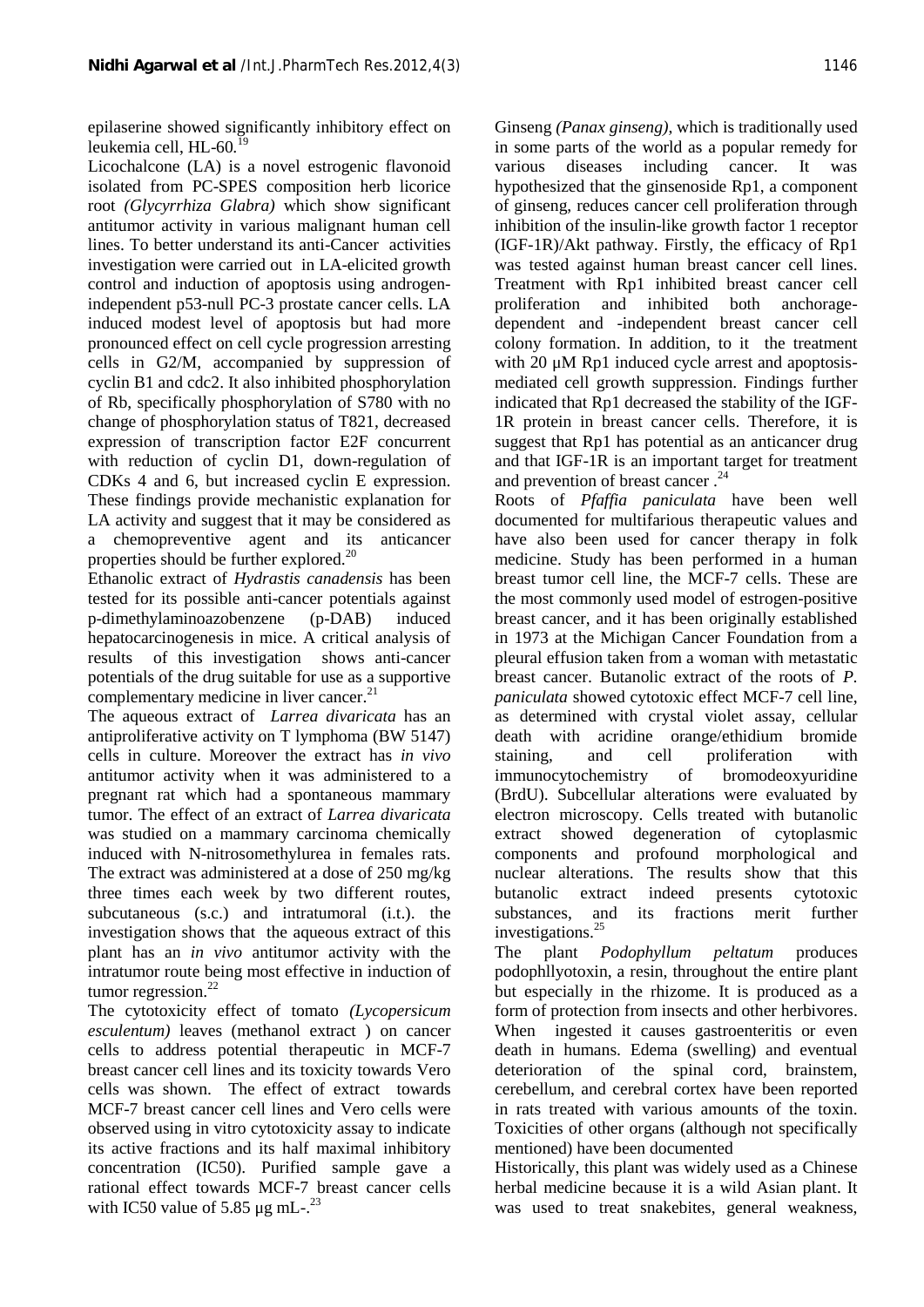epilaserine showed significantly inhibitory effect on leukemia cell, HL-60*.*<sup>19</sup>

Licochalcone (LA) is a novel estrogenic flavonoid various isolated from PC-SPES composition herb licorice root *(Glycyrrhiza Glabra)* which show significant antitumor activity in various malignant human cell lines. To better understand its anti-Cancer activities investigation were carried out in LA-elicited growth control and induction of apoptosis using androgenindependent p53-null PC-3 prostate cancer cells. LA induced modest level of apoptosis but had more pronounced effect on cell cycle progression arresting cells in G2/M, accompanied by suppression of cyclin B1 and cdc2. It also inhibited phosphorylation of Rb, specifically phosphorylation of S780 with no change of phosphorylation status of T821, decreased expression of transcription factor E2F concurrent with reduction of cyclin D1, down-regulation of CDKs 4 and 6, but increased cyclin E expression. These findings provide mechanistic explanation for LA activity and suggest that it may be considered as a chemopreventive agent and its anticancer properties should be further explored. $^{20}$ 

Ethanolic extract of *Hydrastis canadensis* has been tested for its possible anti-cancer potentials against p-dimethylaminoazobenzene (p-DAB) induced hepatocarcinogenesis in mice. A critical analysis of results of this investigation shows anti-cancer potentials of the drug suitable for use as a supportive complementary medicine in liver cancer. $21$ 

The aqueous extract of *Larrea divaricata* has an antiproliferative activity on T lymphoma (BW 5147) cells in culture. Moreover the extract has *in vivo* antitumor activity when it was administered to a pregnant rat which had a spontaneous mammary tumor. The effect of an extract of *Larrea divaricata* was studied on a mammary carcinoma chemically induced with N-nitrosomethylurea in females rats. The extract was administered at a dose of 250 mg/kg three times each week by two different routes, subcutaneous (s.c.) and intratumoral (i.t.). the investigation shows that the aqueous extract of this plant has an *in vivo* antitumor activity with the intratumor route being most effective in induction of tumor regression. $^{22}$ 

The cytotoxicity effect of tomato *(Lycopersicum esculentum)* leaves (methanol extract ) on cancer cells to address potential therapeutic in MCF-7 breast cancer cell lines and its toxicity towards Vero cells was shown. The effect of extract towards MCF-7 breast cancer cell lines and Vero cells were observed using in vitro cytotoxicity assay to indicate its active fractions and its half maximal inhibitory concentration (IC50). Purified sample gave a rational effect towards MCF-7 breast cancer cells with IC50 value of 5.85  $\mu$ g mL-.<sup>23</sup>

Ginseng *(Panax ginseng)*, which is traditionally used in some parts of the world as a popular remedy for diseases including cancer. It was hypothesized that the ginsenoside Rp1, a component of ginseng, reduces cancer cell proliferation through inhibition of the insulin-like growth factor 1 receptor (IGF-1R)/Akt pathway. Firstly, the efficacy of Rp1 was tested against human breast cancer cell lines. Treatment with Rp1 inhibited breast cancer cell proliferation and inhibited both anchorage dependent and -independent breast cancer cell colony formation. In addition, to it the treatment with 20 μM Rp1 induced cycle arrest and apoptosismediated cell growth suppression. Findings further indicated that Rp1 decreased the stability of the IGF- 1R protein in breast cancer cells. Therefore, it is suggest that Rp1 has potential as an anticancer drug and that IGF-1R is an important target for treatment and prevention of breast cancer.<sup>24</sup>

Roots of *Pfaffia paniculata* have been well documented for multifarious therapeutic values and have also been used for cancer therapy in folk medicine. Study has been performed in a human breast tumor cell line, the MCF-7 cells. These are the most commonly used model of estrogen-positive breast cancer, and it has been originally established in 1973 at the Michigan Cancer Foundation from a pleural effusion taken from a woman with metastatic breast cancer. Butanolic extract of the roots of *P. paniculata* showed cytotoxic effect MCF-7 cell line, as determined with crystal violet assay, cellular death with acridine orange/ethidium bromide and cell proliferation with immunocytochemistry of bromodeoxyuridine (BrdU). Subcellular alterations were evaluated by electron microscopy. Cells treated with butanolic extract showed degeneration of cytoplasmic components and profound morphological and nuclear alterations. The results show that this butanolic extract indeed presents cytotoxic substances, and its fractions merit further investigations.<sup>25</sup>

The plant *Podophyllum peltatum* produces podophllyotoxin, a resin, throughout the entire plant but especially in the rhizome. It is produced as a form of protection from insects and other herbivores. When ingested it causes gastroenteritis or even death in humans. Edema (swelling) and eventual deterioration of the spinal cord, brainstem, cerebellum, and cerebral cortex have been reported in rats treated with various amounts of the toxin. Toxicities of other organs (although not specifically mentioned) have been documented

Historically, this plant was widely used as a Chinese herbal medicine because it is a wild Asian plant. It was used to treat snakebites, general weakness,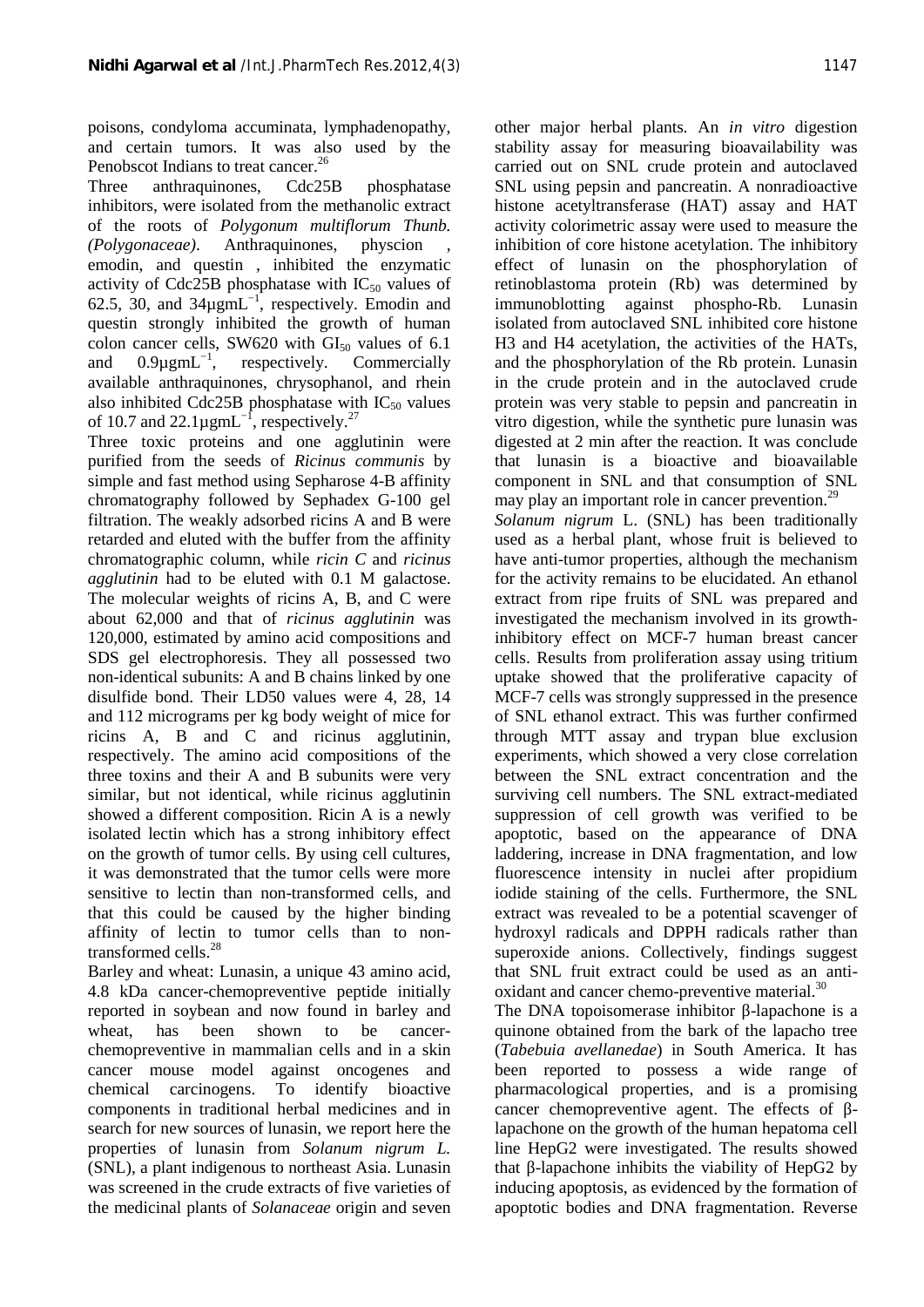poisons, condyloma accuminata, lymphadenopathy, and certain tumors. It was also used by the Penobscot Indians to treat cancer.<sup>26</sup>

Three anthraquinones, Cdc25B phosphatase inhibitors, were isolated from the methanolic extract of the roots of *Polygonum multiflorum Thunb. (Polygonaceae)*. Anthraquinones, physcion emodin, and questin , inhibited the enzymatic activity of Cdc25B phosphatase with  $IC_{50}$  values of 62.5, 30, and  $34\mu\text{g}mL^{-1}$ , respectively. Emodin and immunoblotting questin strongly inhibited the growth of human colon cancer cells, SW620 with  $GI<sub>50</sub>$  values of 6.1 and  $0.9\mu\text{g}mL^{-1}$ , respectively. Commercially available anthraquinones, chrysophanol, and rhein also inhibited Cdc25B phosphatase with  $IC_{50}$  values of 10.7 and 22.1 $\mu$ gmL<sup>-1</sup>, respectively.<sup>27</sup>

Three toxic proteins and one agglutinin were purified from the seeds of *Ricinus communis* by simple and fast method using Sepharose 4-B affinity chromatography followed by Sephadex G-100 gel filtration. The weakly adsorbed ricins A and B were retarded and eluted with the buffer from the affinity chromatographic column, while *ricin C* and *ricinus agglutinin* had to be eluted with 0.1 M galactose. The molecular weights of ricins A, B, and C were about 62,000 and that of *ricinus agglutinin* was 120,000, estimated by amino acid compositions and SDS gel electrophoresis. They all possessed two non-identical subunits: A and B chains linked by one disulfide bond. Their LD50 values were 4, 28, 14 and 112 micrograms per kg body weight of mice for ricins A, B and C and ricinus agglutinin, respectively. The amino acid compositions of the three toxins and their A and B subunits were very similar, but not identical, while ricinus agglutinin showed a different composition. Ricin A is a newly isolated lectin which has a strong inhibitory effect on the growth of tumor cells. By using cell cultures, it was demonstrated that the tumor cells were more sensitive to lectin than non-transformed cells, and that this could be caused by the higher binding affinity of lectin to tumor cells than to nontransformed cells.<sup>28</sup>

Barley and wheat: Lunasin, a unique 43 amino acid, 4.8 kDa cancer-chemopreventive peptide initially reported in soybean and now found in barley and wheat, has been shown to be cancer chemopreventive in mammalian cells and in a skin cancer mouse model against oncogenes and chemical carcinogens. To identify bioactive components in traditional herbal medicines and in search for new sources of lunasin, we report here the properties of lunasin from *Solanum nigrum L.* (SNL), a plant indigenous to northeast Asia. Lunasin was screened in the crude extracts of five varieties of the medicinal plants of *Solanaceae* origin and seven other major herbal plants. An *in vitro* digestion stability assay for measuring bioavailability was carried out on SNL crude protein and autoclaved SNL using pepsin and pancreatin. A nonradioactive histone acetyltransferase (HAT) assay and HAT activity colorimetric assay were used to measure the inhibition of core histone acetylation. The inhibitory effect of lunasin on the phosphorylation of retinoblastoma protein (Rb) was determined by against phospho-Rb. Lunasin isolated from autoclaved SNL inhibited core histone H3 and H4 acetylation, the activities of the HATs, and the phosphorylation of the Rb protein. Lunasin in the crude protein and in the autoclaved crude protein was very stable to pepsin and pancreatin in vitro digestion, while the synthetic pure lunasin was digested at 2 min after the reaction. It was conclude that lunasin is a bioactive and bioavailable component in SNL and that consumption of SNL may play an important role in cancer prevention.<sup>29</sup> *Solanum nigrum* L. (SNL) has been traditionally used as a herbal plant, whose fruit is believed to have anti-tumor properties, although the mechanism for the activity remains to be elucidated. An ethanol extract from ripe fruits of SNL was prepared and investigated the mechanism involved in its growthinhibitory effect on MCF-7 human breast cancer cells. Results from proliferation assay using tritium uptake showed that the proliferative capacity of MCF-7 cells was strongly suppressed in the presence of SNL ethanol extract. This was further confirmed through MTT assay and trypan blue exclusion experiments, which showed a very close correlation between the SNL extract concentration and the surviving cell numbers. The SNL extract-mediated suppression of cell growth was verified to be apoptotic, based on the appearance of DNA laddering, increase in DNA fragmentation, and low fluorescence intensity in nuclei after propidium iodide staining of the cells. Furthermore, the SNL extract was revealed to be a potential scavenger of hydroxyl radicals and DPPH radicals rather than superoxide anions. Collectively, findings suggest that SNL fruit extract could be used as an anti oxidant and cancer chemo-preventive material.<sup>30</sup>

The DNA topoisomerase inhibitor -lapachone is a quinone obtained from the bark of the lapacho tree (*Tabebuia avellanedae*) in South America. It has been reported to possess a wide range of pharmacological properties, and is a promising cancer chemopreventive agent. The effects of lapachone on the growth of the human hepatoma cell line HepG2 were investigated. The results showed that -lapachone inhibits the viability of HepG2 by inducing apoptosis, as evidenced by the formation of apoptotic bodies and DNA fragmentation. Reverse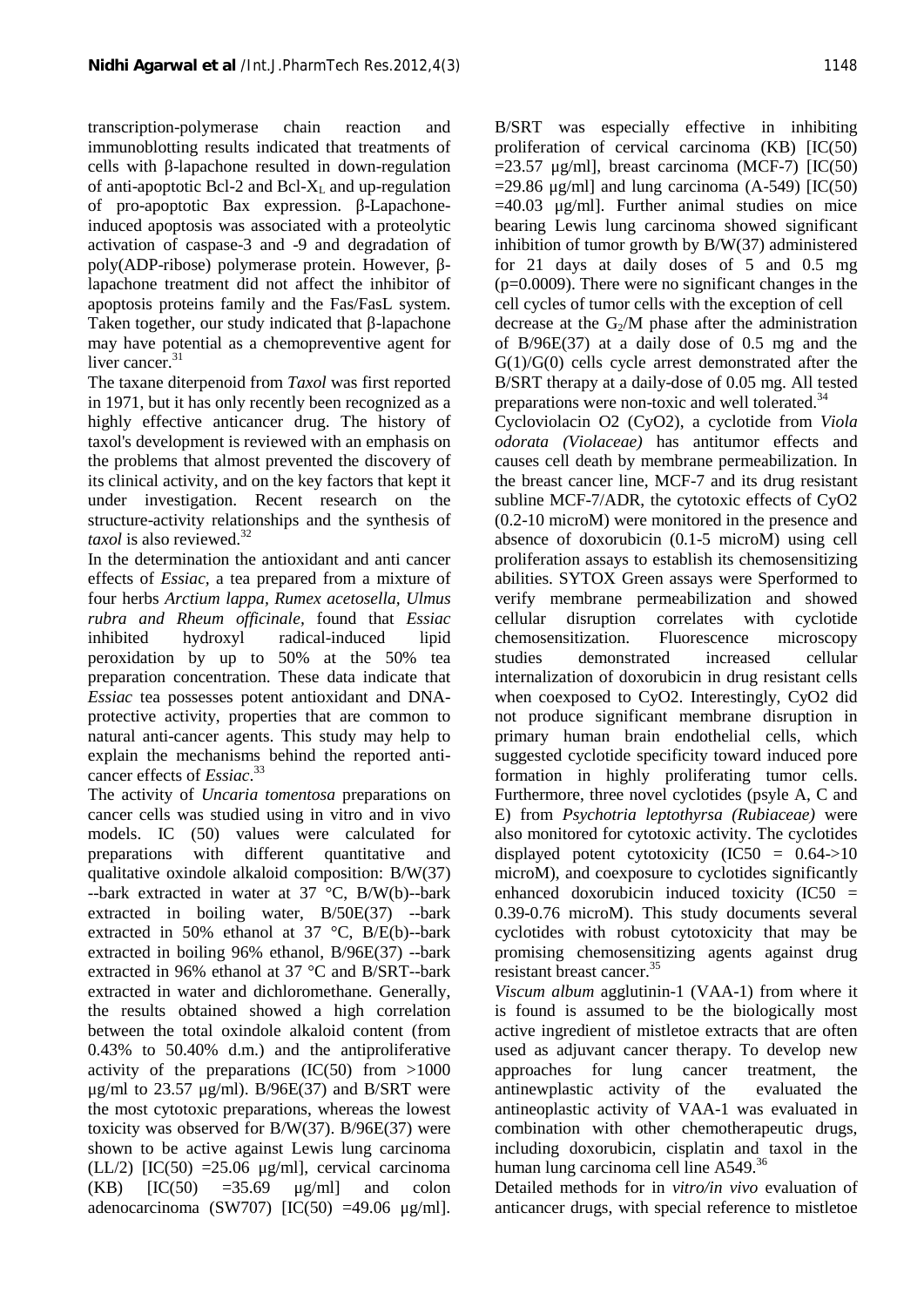transcription-polymerase chain reaction and immunoblotting results indicated that treatments of cells with -lapachone resulted in down-regulation of anti-apoptotic Bcl-2 and Bcl- $X_L$  and up-regulation of pro-apoptotic Bax expression. -Lapachoneinduced apoptosis was associated with a proteolytic activation of caspase-3 and -9 and degradation of poly(ADP-ribose) polymerase protein. However, lapachone treatment did not affect the inhibitor of apoptosis proteins family and the Fas/FasL system. Taken together, our study indicated that -lapachone may have potential as a chemopreventive agent for liver cancer.<sup>31</sup>

The taxane diterpenoid from *Taxol* was first reported in 1971, but it has only recently been recognized as a highly effective anticancer drug. The history of taxol's development is reviewed with an emphasis on the problems that almost prevented the discovery of its clinical activity, and on the key factors that kept it under investigation. Recent research on the structure-activity relationships and the synthesis of *taxol* is also reviewed.<sup>32</sup>

In the determination the antioxidant and anti cancer effects of *Essiac,* a tea prepared from a mixture of four herbs *Arctium lappa, Rumex acetosella, Ulmus rubra and Rheum officinale,* found that *Essiac* inhibited hydroxyl radical-induced lipid peroxidation by up to 50% at the 50% tea preparation concentration. These data indicate that *Essiac* tea possesses potent antioxidant and DNA protective activity, properties that are common to natural anti-cancer agents. This study may help to explain the mechanisms behind the reported anti cancer effects of *Essiac*.<sup>33</sup>

The activity of *Uncaria tomentosa* preparations on cancer cells was studied using in vitro and in vivo models. IC (50) values were calculated for preparations with different quantitative and qualitative oxindole alkaloid composition: B/W(37) --bark extracted in water at  $37 \text{ °C}$ , B/W(b)--bark extracted in boiling water, B/50E(37) --bark extracted in 50% ethanol at 37 °C, B/E(b)--bark extracted in boiling 96% ethanol, B/96E(37) --bark extracted in 96% ethanol at 37 °C and B/SRT--bark extracted in water and dichloromethane. Generally, the results obtained showed a high correlation between the total oxindole alkaloid content (from 0.43% to 50.40% d.m.) and the antiproliferative activity of the preparations  $(IC(50)$  from  $>1000$  approaches μg/ml to 23.57 μg/ml).  $B/96E(37)$  and B/SRT were the most cytotoxic preparations, whereas the lowest toxicity was observed for B/W(37). B/96E(37) were shown to be active against Lewis lung carcinoma (LL/2)  $[IC(50) = 25.06 \mu g/ml]$ , cervical carcinoma  $(KB)$   $[IC(50) =35.69$   $\mu$ g/ml and colon adenocarcinoma (SW707)  $[IC(50) =49.06 \text{ µg/ml}].$ 

B/SRT was especially effective in inhibiting proliferation of cervical carcinoma (KB) [IC(50)  $=$ 23.57  $\mu$ g/ml], breast carcinoma (MCF-7) [IC(50)  $=$ 29.86 μg/ml] and lung carcinoma (A-549) [IC(50)]  $=40.03$   $\mu$ g/ml]. Further animal studies on mice bearing Lewis lung carcinoma showed significant inhibition of tumor growth by B/W(37) administered for 21 days at daily doses of 5 and 0.5 mg (p=0.0009). There were no significant changes in the cell cycles of tumor cells with the exception of cell decrease at the  $G_2/M$  phase after the administration of B/96E(37) at a daily dose of 0.5 mg and the G(1)/G(0) cells cycle arrest demonstrated after the B/SRT therapy at a daily-dose of 0.05 mg. All tested

preparations were non-toxic and well tolerated.<sup>34</sup> Cycloviolacin O2 (CyO2), a cyclotide from *Viola odorata (Violaceae)* has antitumor effects and causes cell death by membrane permeabilization. In the breast cancer line, MCF-7 and its drug resistant subline MCF-7/ADR, the cytotoxic effects of CyO2 (0.2-10 microM) were monitored in the presence and absence of doxorubicin (0.1-5 microM) using cell proliferation assays to establish its chemosensitizing abilities. SYTOX Green assays were Sperformed to verify membrane permeabilization and showed disruption correlates with cyclotide chemosensitization. Fluorescence microscopy demonstrated increased cellular internalization of doxorubicin in drug resistant cells when coexposed to CyO2. Interestingly, CyO2 did not produce significant membrane disruption in primary human brain endothelial cells, which suggested cyclotide specificity toward induced pore formation in highly proliferating tumor cells. Furthermore, three novel cyclotides (psyle A, C and E) from *Psychotria leptothyrsa (Rubiaceae)* were also monitored for cytotoxic activity. The cyclotides displayed potent cytotoxicity  $(IC50 = 0.64 \rightarrow 10$ microM), and coexposure to cyclotides significantly enhanced doxorubicin induced toxicity (IC50 = 0.39-0.76 microM). This study documents several cyclotides with robust cytotoxicity that may be promising chemosensitizing agents against drug resistant breast cancer.<sup>35</sup>

*Viscum album* agglutinin-1 (VAA-1) from where it is found is assumed to be the biologically most active ingredient of mistletoe extracts that are often used as adjuvant cancer therapy. To develop new for lung cancer treatment, the antinewplastic activity of the evaluated the antineoplastic activity of VAA-1 was evaluated in combination with other chemotherapeutic drugs, including doxorubicin, cisplatin and taxol in the human lung carcinoma cell line A549.<sup>36</sup>

Detailed methods for in *vitro/in vivo* evaluation of anticancer drugs, with special reference to mistletoe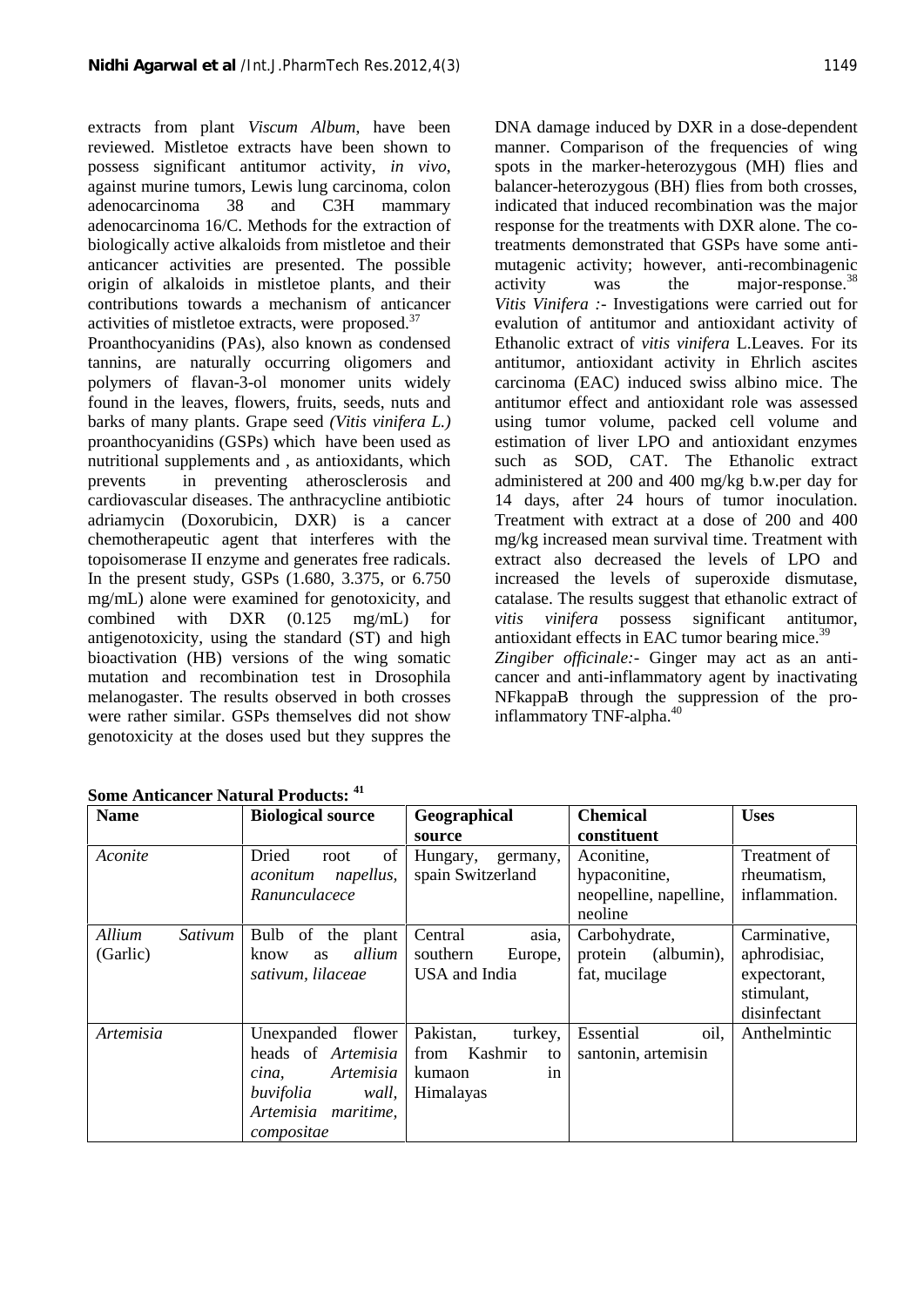extracts from plant *Viscum Album*, have been reviewed. Mistletoe extracts have been shown to possess significant antitumor activity, *in vivo*, against murine tumors, Lewis lung carcinoma, colon adenocarcinoma 38 and C3H mammary adenocarcinoma 16/C. Methods for the extraction of biologically active alkaloids from mistletoe and their anticancer activities are presented. The possible origin of alkaloids in mistletoe plants, and their contributions towards a mechanism of anticancer activities of mistletoe extracts, were proposed.<sup>37</sup>

Proanthocyanidins (PAs), also known as condensed tannins, are naturally occurring oligomers and polymers of flavan-3-ol monomer units widely found in the leaves, flowers, fruits, seeds, nuts and barks of many plants. Grape seed *(Vitis vinifera L.)* proanthocyanidins (GSPs) which have been used as nutritional supplements and , as antioxidants, which prevents in preventing atherosclerosis and cardiovascular diseases. The anthracycline antibiotic adriamycin (Doxorubicin, DXR) is a cancer chemotherapeutic agent that interferes with the topoisomerase II enzyme and generates free radicals. In the present study, GSPs (1.680, 3.375, or 6.750 mg/mL) alone were examined for genotoxicity, and combined with DXR (0.125 mg/mL) for antigenotoxicity, using the standard (ST) and high bioactivation (HB) versions of the wing somatic mutation and recombination test in Drosophila melanogaster. The results observed in both crosses were rather similar. GSPs themselves did not show genotoxicity at the doses used but they suppres the

DNA damage induced by DXR in a dose-dependent manner. Comparison of the frequencies of wing spots in the marker-heterozygous (MH) flies and balancer-heterozygous (BH) flies from both crosses, indicated that induced recombination was the major response for the treatments with DXR alone. The cotreatments demonstrated that GSPs have some anti mutagenic activity; however, anti-recombinagenic activity was the major-response.<sup>38</sup> *Vitis Vinifera :-* Investigations were carried out for evalution of antitumor and antioxidant activity of Ethanolic extract of *vitis vinifera* L.Leaves. For its antitumor, antioxidant activity in Ehrlich ascites carcinoma (EAC) induced swiss albino mice. The antitumor effect and antioxidant role was assessed using tumor volume, packed cell volume and estimation of liver LPO and antioxidant enzymes such as SOD, CAT. The Ethanolic extract administered at 200 and 400 mg/kg b.w.per day for 14 days, after 24 hours of tumor inoculation. Treatment with extract at a dose of 200 and 400 mg/kg increased mean survival time. Treatment with extract also decreased the levels of LPO and increased the levels of superoxide dismutase, catalase. The results suggest that ethanolic extract of *vitis vinifera* possess significant antitumor, antioxidant effects in EAC tumor bearing mice.<sup>39</sup> *Zingiber officinale:-* Ginger may act as an anti cancer and anti-inflammatory agent by inactivating NFkappaB through the suppression of the proinflammatory TNF-alpha.<sup>40</sup>

| <b>Name</b>                   | <b>Biological source</b>                                                                                                 | Geographical<br>source                                                     | <b>Chemical</b><br>constituent                                   | <b>Uses</b>                                                                |
|-------------------------------|--------------------------------------------------------------------------------------------------------------------------|----------------------------------------------------------------------------|------------------------------------------------------------------|----------------------------------------------------------------------------|
| Aconite                       | Dried<br>of<br>root<br>napellus,<br>aconitum<br>Ranunculacece                                                            | Hungary,<br>germany,<br>spain Switzerland                                  | Aconitine,<br>hypaconitine,<br>neopelline, napelline,<br>neoline | Treatment of<br>rheumatism,<br>inflammation.                               |
| Allium<br>Sativum<br>(Garlic) | Bulb of the<br>plant<br>allium<br>know<br><b>as</b><br>sativum, lilaceae                                                 | Central<br>asia.<br>southern<br>Europe,<br>USA and India                   | Carbohydrate,<br>protein<br>(albumin),<br>fat, mucilage          | Carminative,<br>aphrodisiac,<br>expectorant,<br>stimulant,<br>disinfectant |
| Artemisia                     | Unexpanded flower<br>heads of Artemisia<br>Artemisia<br>cina,<br>buvifolia<br>wall,<br>Artemisia maritime,<br>compositae | Pakistan,<br>turkey,<br>Kashmir<br>from<br>to<br>kumaon<br>in<br>Himalayas | oil,<br>Essential<br>santonin, artemisin                         | Anthelmintic                                                               |

**Some Anticancer Natural Products: <sup>41</sup>**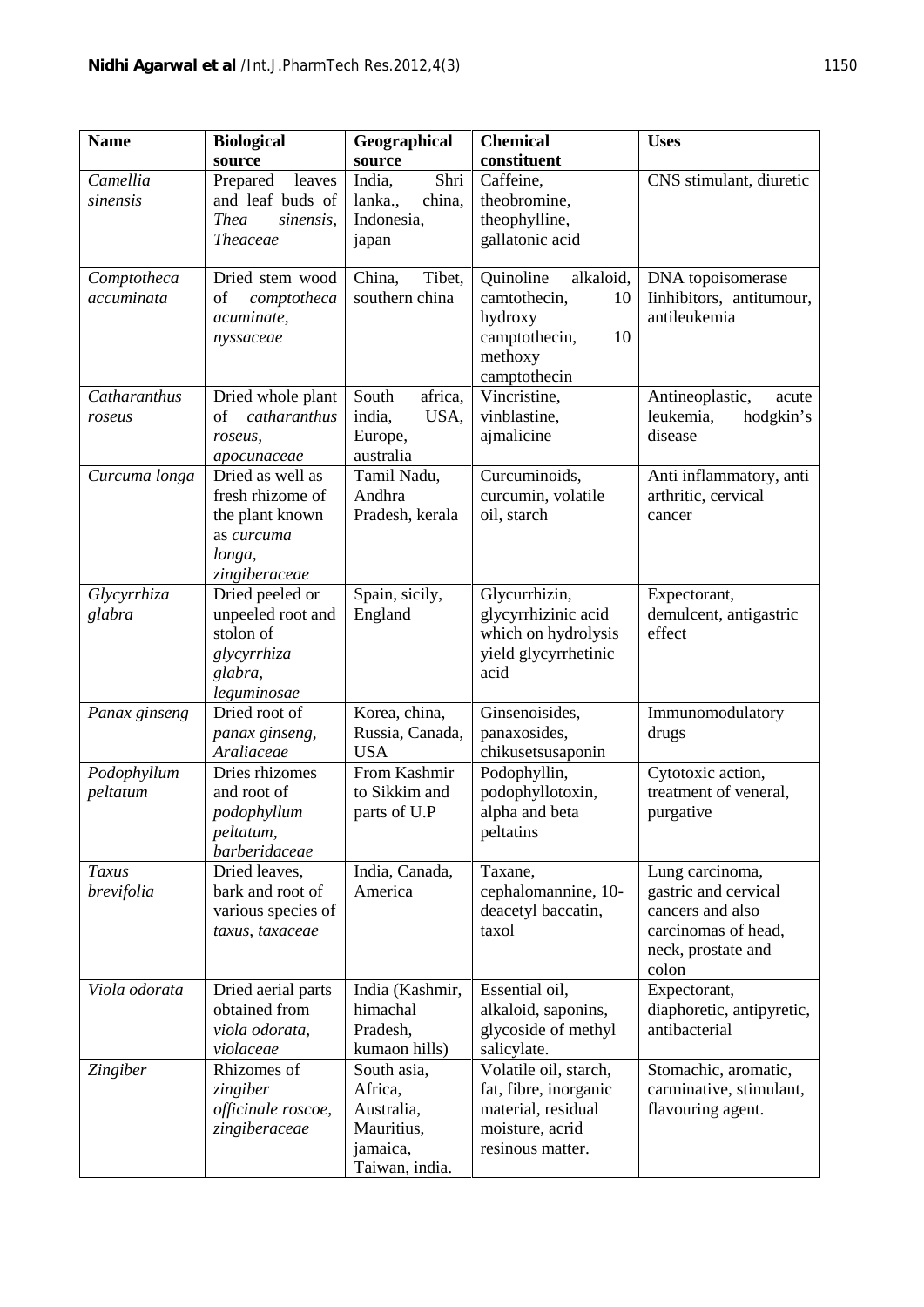| <b>Name</b>               | <b>Biological</b><br>source                                                                      | Geographical<br>source                                                           | <b>Chemical</b><br>constituent                                                                              | <b>Uses</b>                                                                                                       |
|---------------------------|--------------------------------------------------------------------------------------------------|----------------------------------------------------------------------------------|-------------------------------------------------------------------------------------------------------------|-------------------------------------------------------------------------------------------------------------------|
| Camellia<br>sinensis      | Prepared<br>leaves<br>and leaf buds of<br><b>Thea</b><br>sinensis,<br><b>Theaceae</b>            | Shri<br>India,<br>lanka.,<br>china,<br>Indonesia,<br>japan                       | Caffeine,<br>theobromine,<br>theophylline,<br>gallatonic acid                                               | CNS stimulant, diuretic                                                                                           |
| Comptotheca<br>accuminata | Dried stem wood<br>of<br>comptotheca<br>acuminate,<br>nyssaceae                                  | China,<br>Tibet,<br>southern china                                               | Quinoline<br>alkaloid,<br>camtothecin,<br>10<br>hydroxy<br>camptothecin,<br>10<br>methoxy<br>camptothecin   | DNA topoisomerase<br>Iinhibitors, antitumour,<br>antileukemia                                                     |
| Catharanthus<br>roseus    | Dried whole plant<br>catharanthus<br>of<br>roseus,<br>apocunaceae                                | South<br>africa,<br>india,<br>USA,<br>Europe,<br>australia                       | Vincristine,<br>vinblastine,<br>ajmalicine                                                                  | Antineoplastic,<br>acute<br>hodgkin's<br>leukemia,<br>disease                                                     |
| Curcuma longa             | Dried as well as<br>fresh rhizome of<br>the plant known<br>as curcuma<br>longa,<br>zingiberaceae | Tamil Nadu,<br>Andhra<br>Pradesh, kerala                                         | Curcuminoids,<br>curcumin, volatile<br>oil, starch                                                          | Anti inflammatory, anti<br>arthritic, cervical<br>cancer                                                          |
| Glycyrrhiza<br>glabra     | Dried peeled or<br>unpeeled root and<br>stolon of<br>glycyrrhiza<br>glabra,<br>leguminosae       | Spain, sicily,<br>England                                                        | Glycurrhizin,<br>glycyrrhizinic acid<br>which on hydrolysis<br>yield glycyrrhetinic<br>acid                 | Expectorant,<br>demulcent, antigastric<br>effect                                                                  |
| Panax ginseng             | Dried root of<br>panax ginseng,<br>Araliaceae                                                    | Korea, china,<br>Russia, Canada,<br><b>USA</b>                                   | Ginsenoisides,<br>panaxosides,<br>chikusetsusaponin                                                         | Immunomodulatory<br>drugs                                                                                         |
| Podophyllum<br>peltatum   | Dries rhizomes<br>and root of<br>podophyllum<br>peltatum,<br>barberidaceae                       | From Kashmir<br>to Sikkim and<br>parts of U.P                                    | Podophyllin,<br>podophyllotoxin,<br>alpha and beta<br>peltatins                                             | Cytotoxic action,<br>treatment of veneral,<br>purgative                                                           |
| Taxus<br>brevifolia       | Dried leaves,<br>bark and root of<br>various species of<br>taxus, taxaceae                       | India, Canada,<br>America                                                        | Taxane,<br>cephalomannine, 10-<br>deacetyl baccatin,<br>taxol                                               | Lung carcinoma,<br>gastric and cervical<br>cancers and also<br>carcinomas of head,<br>neck, prostate and<br>colon |
| Viola odorata             | Dried aerial parts<br>obtained from<br>viola odorata,<br>violaceae                               | India (Kashmir,<br>himachal<br>Pradesh,<br>kumaon hills)                         | Essential oil,<br>alkaloid, saponins,<br>glycoside of methyl<br>salicylate.                                 | Expectorant,<br>diaphoretic, antipyretic,<br>antibacterial                                                        |
| Zingiber                  | Rhizomes of<br>zingiber<br>officinale roscoe,<br>zingiberaceae                                   | South asia,<br>Africa,<br>Australia,<br>Mauritius,<br>jamaica,<br>Taiwan, india. | Volatile oil, starch,<br>fat, fibre, inorganic<br>material, residual<br>moisture, acrid<br>resinous matter. | Stomachic, aromatic,<br>carminative, stimulant,<br>flavouring agent.                                              |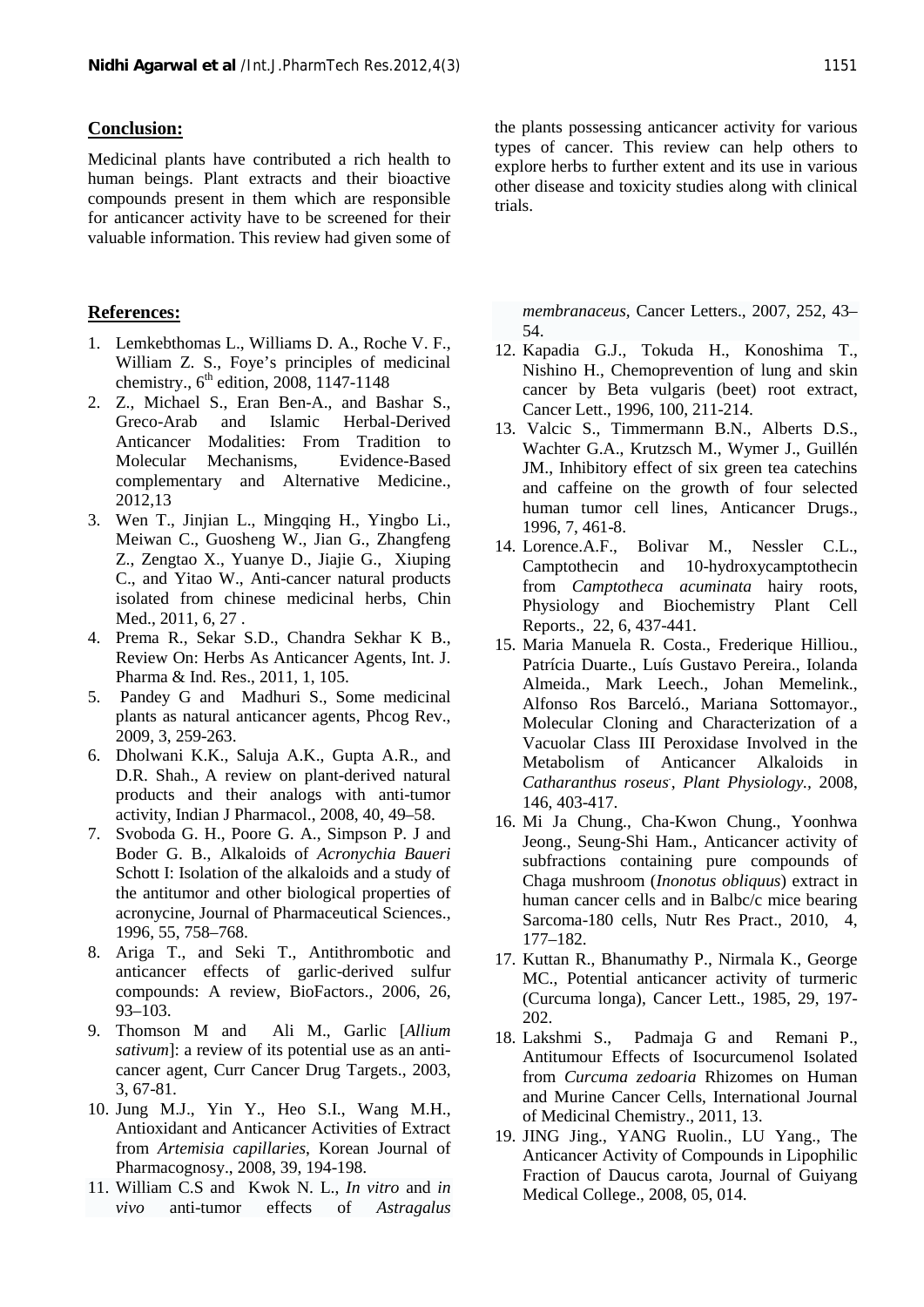#### **Conclusion:**

Medicinal plants have contributed a rich health to human beings. Plant extracts and their bioactive compounds present in them which are responsible for anticancer activity have to be screened for their valuable information. This review had given some of

#### **References:**

- 1. Lemkebthomas L., Williams D. A., Roche V. F., William Z. S., Foye's principles of medicinal chemistry.,  $6^{\text{th}}$  edition, 2008, 1147-1148
- 2. Z., Michael S., Eran Ben-A., and Bashar S., Greco-Arab and Islamic Herbal-Derived Anticancer Modalities: From Tradition to Molecular Mechanisms, Evidence-Based complementary and Alternative Medicine., 2012,13
- 3. Wen T., Jinjian L., Mingqing H., Yingbo Li., Meiwan C., Guosheng W., Jian G., Zhangfeng 14. Lorence.A.F., Z., Zengtao X., Yuanye D., Jiajie G., Xiuping C., and Yitao W., Anti-cancer natural products isolated from chinese medicinal herbs, Chin Med., 2011, 6, 27.
- 4. Prema R., Sekar S.D., Chandra Sekhar K B., Review On: Herbs As Anticancer Agents, Int. J. Pharma & Ind. Res., 2011, 1, 105.
- 5. Pandey G and Madhuri S., Some medicinal plants as natural anticancer agents, Phcog Rev., 2009, 3, 259-263.
- 6. Dholwani K.K., Saluja A.K., Gupta A.R., and D.R. Shah., A review on plant-derived natural products and their analogs with anti-tumor activity, Indian J Pharmacol., 2008, 40, 49–58.
- 7. Svoboda G. H., Poore G. A., Simpson P. J and Boder G. B., Alkaloids of *Acronychia Baueri* Schott I: Isolation of the alkaloids and a study of the antitumor and other biological properties of acronycine, Journal of Pharmaceutical Sciences., 1996, 55, 758–768.
- 8. Ariga T., and Seki T., Antithrombotic and anticancer effects of garlic-derived sulfur compounds: A review, BioFactors., 2006, 26, 93–103.
- 9. Thomson M and Ali M., Garlic [*Allium sativum*]: a review of its potential use as an anti cancer agent, Curr Cancer Drug Targets., 2003, 3, 67-81.
- 10. Jung M.J., Yin Y., Heo S.I., Wang M.H., Antioxidant and Anticancer Activities of Extract from *Artemisia capillaries*, Korean Journal of Pharmacognosy., 2008, 39, 194-198.
- 11. William C.S and Kwok N. L., *In vitro* and *in vivo* anti-tumor effects of *Astragalus*

the plants possessing anticancer activity for various types of cancer. This review can help others to explore herbs to further extent and its use in various other disease and toxicity studies along with clinical trials.

*membranaceus,* Cancer Letters., 2007, 252, 43– 54.

- 12. Kapadia G.J., Tokuda H., Konoshima T., Nishino H., Chemoprevention of lung and skin cancer by Beta vulgaris (beet) root extract, Cancer Lett., 1996, 100, 211-214.
- 13. Valcic S., Timmermann B.N., Alberts D.S., Wachter G.A., Krutzsch M., Wymer J., Guillén JM., Inhibitory effect of six green tea catechins and caffeine on the growth of four selected human tumor cell lines, Anticancer Drugs., 1996, 7, 461-8.
- Bolivar M., Nessler C.L., Camptothecin and 10-hydroxycamptothecin from *Camptotheca acuminata* hairy roots, Physiology and Biochemistry Plant Cell Reports., 22, 6, 437-441.
- 15. Maria Manuela R. Costa., Frederique Hilliou., Patrícia Duarte., Luís Gustavo Pereira., Iolanda Almeida., Mark Leech., Johan Memelink., Alfonso Ros Barceló., Mariana Sottomayor., Molecular Cloning and Characterization of a Vacuolar Class III Peroxidase Involved in the Metabolism of Anticancer Alkaloids in *Catharanthus roseus*., *Plant Physiology.,* 2008, 146, 403-417.
- 16. Mi Ja Chung., Cha-Kwon Chung., Yoonhwa Jeong., Seung-Shi Ham., Anticancer activity of subfractions containing pure compounds of Chaga mushroom (*Inonotus obliquus*) extract in human cancer cells and in Balbc/c mice bearing Sarcoma-180 cells, Nutr Res Pract., 2010, 4, 177–182.
- 17. Kuttan R., Bhanumathy P., Nirmala K., George MC., Potential anticancer activity of turmeric (Curcuma longa), Cancer Lett., 1985, 29, 197- 202.
- 18. Lakshmi S., Padmaja G and Remani P., Antitumour Effects of Isocurcumenol Isolated from *Curcuma zedoaria* Rhizomes on Human and Murine Cancer Cells, International Journal of Medicinal Chemistry., 2011, 13.
- 19. JING Jing., YANG Ruolin., LU Yang., The Anticancer Activity of Compounds in Lipophilic Fraction of Daucus carota, Journal of Guiyang Medical College., 2008, 05, 014.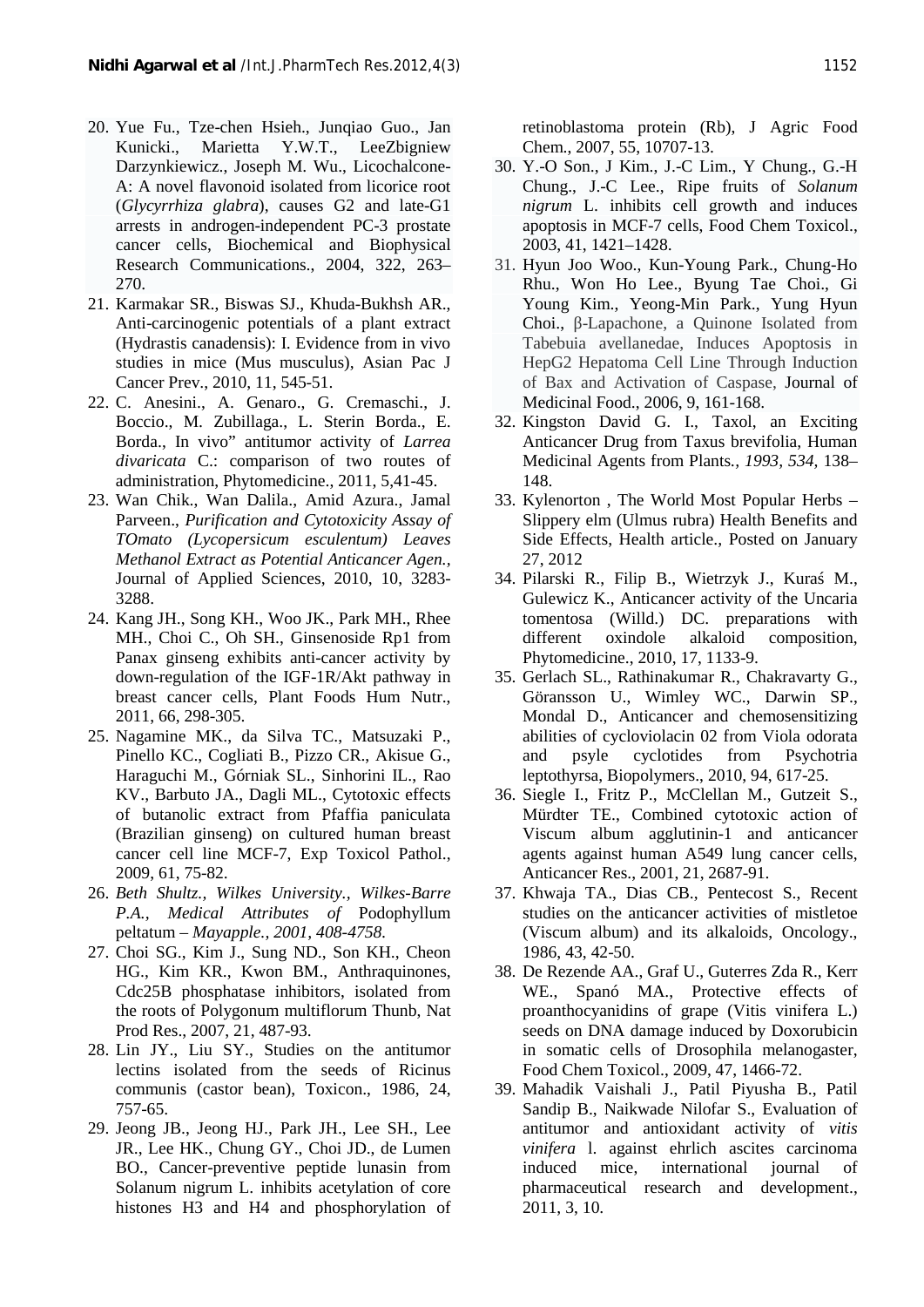- 20. Yue Fu., Tze-chen Hsieh., Junqiao Guo., Jan Kunicki., Marietta Y.W.T., LeeZbigniew Darzynkiewicz., Joseph M. Wu., Licochalcone- A: A novel flavonoid isolated from licorice root (*Glycyrrhiza glabra*), causes G2 and late-G1 arrests in androgen-independent PC-3 prostate cancer cells, Biochemical and Biophysical Research Communications., 2004, 322, 263– 270.
- 21. Karmakar SR., Biswas SJ., Khuda-Bukhsh AR., Anti-carcinogenic potentials of a plant extract (Hydrastis canadensis): I. Evidence from in vivo studies in mice (Mus musculus), Asian Pac J Cancer Prev., 2010, 11, 545-51.
- 22. C. Anesini., A. Genaro., G. Cremaschi., J. Boccio., M. Zubillaga., L. Sterin Borda., E. Borda., In vivo" antitumor activity of *Larrea divaricata* C.: comparison of two routes of administration, Phytomedicine., 2011, 5,41-45.
- 23. Wan Chik., Wan Dalila., Amid Azura., Jamal Parveen., *Purification and Cytotoxicity Assay of TOmato (Lycopersicum esculentum) Leaves Methanol Extract as Potential Anticancer Agen.,* Journal of Applied Sciences, 2010, 10, 3283- 3288.
- 24. Kang JH., Song KH., Woo JK., Park MH., Rhee MH., Choi C., Oh SH., Ginsenoside Rp1 from Panax ginseng exhibits anti-cancer activity by down-regulation of the IGF-1R/Akt pathway in breast cancer cells, Plant Foods Hum Nutr., 2011, 66, 298-305.
- 25. Nagamine MK., da Silva TC., Matsuzaki P., Pinello KC., Cogliati B., Pizzo CR., Akisue G., Haraguchi M., Górniak SL., Sinhorini IL., Rao KV., Barbuto JA., Dagli ML., Cytotoxic effects of butanolic extract from Pfaffia paniculata (Brazilian ginseng) on cultured human breast cancer cell line MCF-7, Exp Toxicol Pathol., 2009, 61, 75-82.
- 26. *Beth Shultz., Wilkes University., Wilkes-Barre P.A., Medical Attributes of* Podophyllum peltatum *– Mayapple., 2001, 408-4758.*
- 27. Choi SG., Kim J., Sung ND., Son KH., Cheon HG., Kim KR., Kwon BM., Anthraquinones, Cdc25B phosphatase inhibitors, isolated from the roots of Polygonum multiflorum Thunb, Nat Prod Res., 2007, 21, 487-93.
- 28. Lin JY., Liu SY., Studies on the antitumor lectins isolated from the seeds of Ricinus communis (castor bean), Toxicon., 1986, 24, 757-65.
- 29. Jeong JB., Jeong HJ., Park JH., Lee SH., Lee JR., Lee HK., Chung GY., Choi JD., de Lumen BO., Cancer-preventive peptide lunasin from Solanum nigrum L. inhibits acetylation of core histones H3 and H4 and phosphorylation of

retinoblastoma protein (Rb), J Agric Food Chem., 2007, 55, 10707-13.

- 30. Y.-O Son., J Kim., J.-C Lim., Y Chung., G.-H Chung., J.-C Lee., Ripe fruits of *Solanum nigrum* L. inhibits cell growth and induces apoptosis in MCF-7 cells, Food Chem Toxicol., 2003, 41, 1421–1428.
- 31. Hyun Joo Woo., Kun-Young Park., Chung-Ho Rhu., Won Ho Lee., Byung Tae Choi., Gi Young Kim., Yeong-Min Park., Yung Hyun Choi., -Lapachone, a Quinone Isolated from Tabebuia avellanedae, Induces Apoptosis in HepG2 Hepatoma Cell Line Through Induction of Bax and Activation of Caspase, Journal of Medicinal Food., 2006, 9, 161-168.
- 32. Kingston David G. I., Taxol, an Exciting Anticancer Drug from Taxus brevifolia, Human Medicinal Agents from Plants*., 1993, 534,* 138– 148.
- 33. Kylenorton , The World Most Popular Herbs Slippery elm (Ulmus rubra) Health Benefits and Side Effects, Health article.*,* Posted on January 27, 2012
- 34. Pilarski R., Filip B., Wietrzyk J., Kura M., Gulewicz K., Anticancer activity of the Uncaria tomentosa (Willd.) DC. preparations with oxindole alkaloid composition, Phytomedicine., 2010, 17, 1133-9.
- 35. Gerlach SL., Rathinakumar R., Chakravarty G., Göransson U., Wimley WC., Darwin SP., Mondal D., Anticancer and chemosensitizing abilities of cycloviolacin 02 from Viola odorata and psyle cyclotides from Psychotria leptothyrsa, Biopolymers., 2010, 94, 617-25.
- 36. Siegle I., Fritz P., McClellan M., Gutzeit S., Mürdter TE., Combined cytotoxic action of Viscum album agglutinin-1 and anticancer agents against human A549 lung cancer cells, Anticancer Res., 2001, 21, 2687-91.
- 37. Khwaja TA., Dias CB., Pentecost S., Recent studies on the anticancer activities of mistletoe (Viscum album) and its alkaloids, Oncology., 1986, 43, 42-50.
- 38. De Rezende AA., Graf U., Guterres Zda R., Kerr WE., Spanó MA., Protective effects of proanthocyanidins of grape (Vitis vinifera L.) seeds on DNA damage induced by Doxorubicin in somatic cells of Drosophila melanogaster, Food Chem Toxicol., 2009, 47, 1466-72.
- 39. Mahadik Vaishali J., Patil Piyusha B., Patil Sandip B., Naikwade Nilofar S., Evaluation of antitumor and antioxidant activity of *vitis vinifera* l. against ehrlich ascites carcinoma induced mice, international journal of pharmaceutical research and development., 2011, 3, 10.